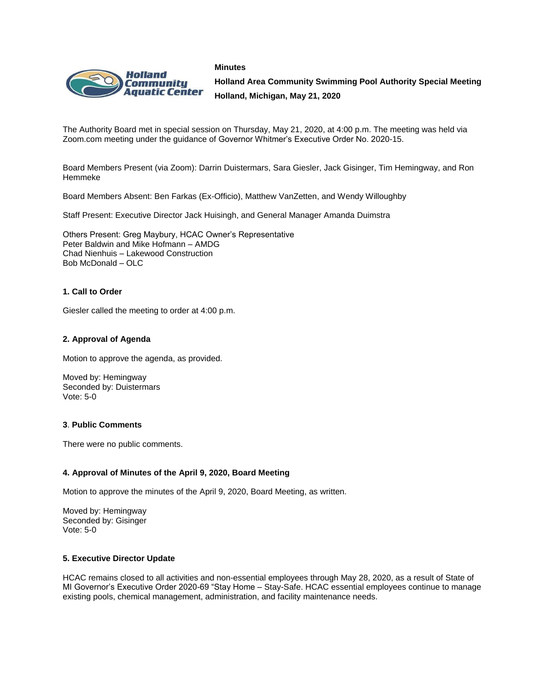**Minutes**



**Holland Area Community Swimming Pool Authority Special Meeting Holland, Michigan, May 21, 2020**

The Authority Board met in special session on Thursday, May 21, 2020, at 4:00 p.m. The meeting was held via Zoom.com meeting under the guidance of Governor Whitmer's Executive Order No. 2020-15.

Board Members Present (via Zoom): Darrin Duistermars, Sara Giesler, Jack Gisinger, Tim Hemingway, and Ron Hemmeke

Board Members Absent: Ben Farkas (Ex-Officio), Matthew VanZetten, and Wendy Willoughby

Staff Present: Executive Director Jack Huisingh, and General Manager Amanda Duimstra

Others Present: Greg Maybury, HCAC Owner's Representative Peter Baldwin and Mike Hofmann – AMDG Chad Nienhuis – Lakewood Construction Bob McDonald – OLC

## **1. Call to Order**

Giesler called the meeting to order at 4:00 p.m.

#### **2. Approval of Agenda**

Motion to approve the agenda, as provided.

Moved by: Hemingway Seconded by: Duistermars Vote: 5-0

## **3**. **Public Comments**

There were no public comments.

#### **4. Approval of Minutes of the April 9, 2020, Board Meeting**

Motion to approve the minutes of the April 9, 2020, Board Meeting, as written.

Moved by: Hemingway Seconded by: Gisinger Vote: 5-0

#### **5. Executive Director Update**

HCAC remains closed to all activities and non-essential employees through May 28, 2020, as a result of State of MI Governor's Executive Order 2020-69 "Stay Home – Stay-Safe. HCAC essential employees continue to manage existing pools, chemical management, administration, and facility maintenance needs.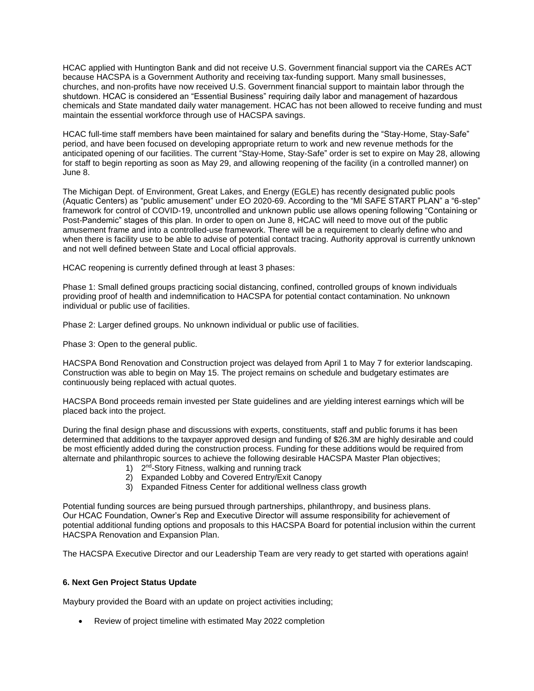HCAC applied with Huntington Bank and did not receive U.S. Government financial support via the CAREs ACT because HACSPA is a Government Authority and receiving tax-funding support. Many small businesses, churches, and non-profits have now received U.S. Government financial support to maintain labor through the shutdown. HCAC is considered an "Essential Business" requiring daily labor and management of hazardous chemicals and State mandated daily water management. HCAC has not been allowed to receive funding and must maintain the essential workforce through use of HACSPA savings.

HCAC full-time staff members have been maintained for salary and benefits during the "Stay-Home, Stay-Safe" period, and have been focused on developing appropriate return to work and new revenue methods for the anticipated opening of our facilities. The current "Stay-Home, Stay-Safe" order is set to expire on May 28, allowing for staff to begin reporting as soon as May 29, and allowing reopening of the facility (in a controlled manner) on June 8.

The Michigan Dept. of Environment, Great Lakes, and Energy (EGLE) has recently designated public pools (Aquatic Centers) as "public amusement" under EO 2020-69. According to the "MI SAFE START PLAN" a "6-step" framework for control of COVID-19, uncontrolled and unknown public use allows opening following "Containing or Post-Pandemic" stages of this plan. In order to open on June 8, HCAC will need to move out of the public amusement frame and into a controlled-use framework. There will be a requirement to clearly define who and when there is facility use to be able to advise of potential contact tracing. Authority approval is currently unknown and not well defined between State and Local official approvals.

HCAC reopening is currently defined through at least 3 phases:

Phase 1: Small defined groups practicing social distancing, confined, controlled groups of known individuals providing proof of health and indemnification to HACSPA for potential contact contamination. No unknown individual or public use of facilities.

Phase 2: Larger defined groups. No unknown individual or public use of facilities.

Phase 3: Open to the general public.

HACSPA Bond Renovation and Construction project was delayed from April 1 to May 7 for exterior landscaping. Construction was able to begin on May 15. The project remains on schedule and budgetary estimates are continuously being replaced with actual quotes.

HACSPA Bond proceeds remain invested per State guidelines and are yielding interest earnings which will be placed back into the project.

During the final design phase and discussions with experts, constituents, staff and public forums it has been determined that additions to the taxpayer approved design and funding of \$26.3M are highly desirable and could be most efficiently added during the construction process. Funding for these additions would be required from alternate and philanthropic sources to achieve the following desirable HACSPA Master Plan objectives;

- 1) 2<sup>nd</sup>-Story Fitness, walking and running track
- 2) Expanded Lobby and Covered Entry/Exit Canopy
- 3) Expanded Fitness Center for additional wellness class growth

Potential funding sources are being pursued through partnerships, philanthropy, and business plans. Our HCAC Foundation, Owner's Rep and Executive Director will assume responsibility for achievement of potential additional funding options and proposals to this HACSPA Board for potential inclusion within the current HACSPA Renovation and Expansion Plan.

The HACSPA Executive Director and our Leadership Team are very ready to get started with operations again!

## **6. Next Gen Project Status Update**

Maybury provided the Board with an update on project activities including;

Review of project timeline with estimated May 2022 completion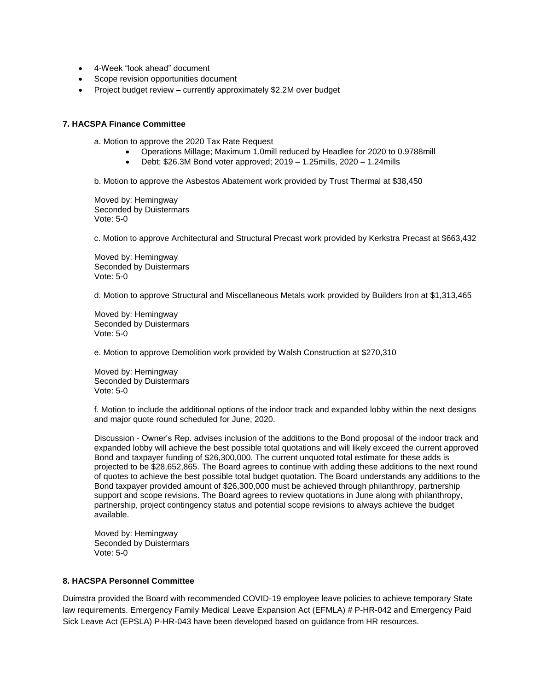- 4-Week "look ahead" document
- Scope revision opportunities document
- Project budget review currently approximately \$2.2M over budget

### **7. HACSPA Finance Committee**

a. Motion to approve the 2020 Tax Rate Request

- Operations Millage; Maximum 1.0mill reduced by Headlee for 2020 to 0.9788mill
- Debt; \$26.3M Bond voter approved; 2019 1.25mills, 2020 1.24mills

b. Motion to approve the Asbestos Abatement work provided by Trust Thermal at \$38,450

Moved by: Hemingway Seconded by Duistermars Vote: 5-0

c. Motion to approve Architectural and Structural Precast work provided by Kerkstra Precast at \$663,432

Moved by: Hemingway Seconded by Duistermars Vote: 5-0

d. Motion to approve Structural and Miscellaneous Metals work provided by Builders Iron at \$1,313,465

Moved by: Hemingway Seconded by Duistermars Vote: 5-0

e. Motion to approve Demolition work provided by Walsh Construction at \$270,310

Moved by: Hemingway Seconded by Duistermars Vote: 5-0

f. Motion to include the additional options of the indoor track and expanded lobby within the next designs and major quote round scheduled for June, 2020.

Discussion - Owner's Rep. advises inclusion of the additions to the Bond proposal of the indoor track and expanded lobby will achieve the best possible total quotations and will likely exceed the current approved Bond and taxpayer funding of \$26,300,000. The current unquoted total estimate for these adds is projected to be \$28,652,865. The Board agrees to continue with adding these additions to the next round of quotes to achieve the best possible total budget quotation. The Board understands any additions to the Bond taxpayer provided amount of \$26,300,000 must be achieved through philanthropy, partnership support and scope revisions. The Board agrees to review quotations in June along with philanthropy, partnership, project contingency status and potential scope revisions to always achieve the budget available.

Moved by: Hemingway Seconded by Duistermars Vote: 5-0

### **8. HACSPA Personnel Committee**

Duimstra provided the Board with recommended COVID-19 employee leave policies to achieve temporary State law requirements. Emergency Family Medical Leave Expansion Act (EFMLA) # P-HR-042 and Emergency Paid Sick Leave Act (EPSLA) P-HR-043 have been developed based on guidance from HR resources.